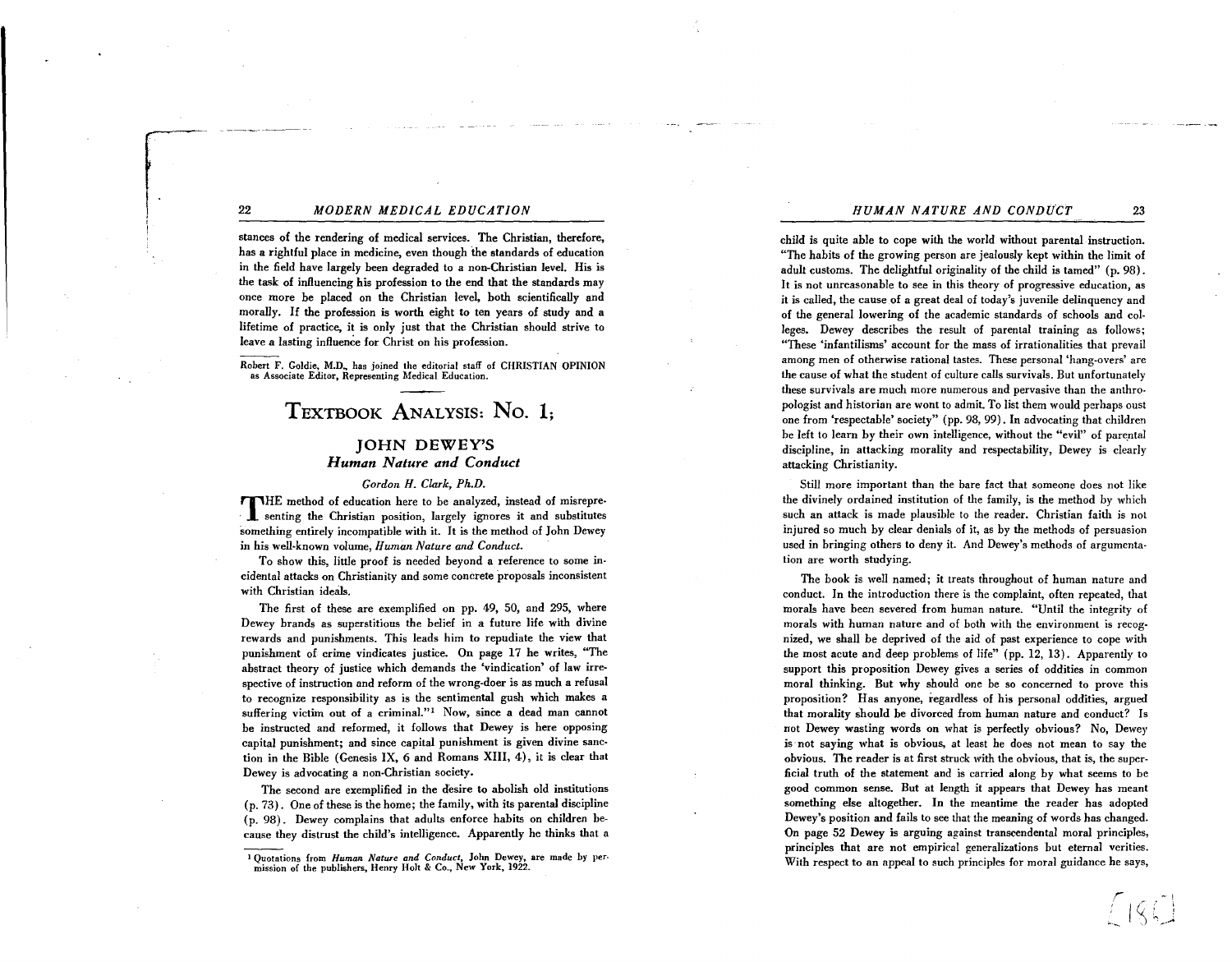## 22 *MODERN MEDICAL EDUCATION*

r-

I

stances of the rendering of medical services. The Christian, therefore, has a rightful place in medicine, even though the standards of education in the field have largely been degraded to a non-Christian level. His is the task of influencing his profession to the end that the standards may once more be placed on the Christian level, both scientifically and morally. If the profession is worth eight to ten years of study and a lifetime of practice, it is only just that the Christian should strive to leave a lasting influence for Christ on his profession.

Robert F. Goldie, M.D., has joined the editorial staff of CHRISTIAN OPINION as Associate Editor, Representing Medical Education.

# TEXTBOOK ANALYSIS: No.1;

# JOHN DEWEY'S *Human Nature and Conduct*

### *Gordon H. Clark, Ph.D.*

THE method of education here to be analyzed, instead of misrepre-<br>
senting the Christian position, largely ignores it and substitutes something entirely incompatible with it. It is the method of John Dewey in his well·known volume, *Human Nature* and *Conduct.* 

To show this, little proof is needed beyond a reference to some in· cidental attacks on Christianity and some concrete proposals inconsistent with Christian ideals.

The first of these are exemplified on pp. 49, 50, and 295, where Dewey brands as superstitious the belief in a future life with divine rewards and punishments. This leads him to repudiate the view that punishment of crime vindicates justice. On page 17 he writes, "The abstract theory of justice which demands the 'vindication' of law irre· spective of instruction and reform of the wrong.doer is as much a refusal to recognize responsibility as is the sentimental gush which makes a suffering victim out of a criminal."<sup>1</sup> Now, since a dead man cannot be instructed and reformed, it follows that Dewey is here opposing capital punishment; and since capital punishment is given divine sanc· tion in the Bible (Genesis IX, 6 and Romans XIII, 4), it is clear that Dewey is advocating a non·Christian society.

The second are exemplified in the desire to abolish old institutions (p. 73). One of these is the home; the family, with its parental discipline (p. 98). Dewey complains that adults enforce habits on children be· cause they distrust the child's intelligence. Apparently he thinks that a

#### *HUMAN NATURE AND CONDUCT* 23

child is quite able to cope with the world without parental instruction. "The habits of the growing person are jealously kept within the limit of adult customs. The delightful originality of the child is tamed" (p. 98). It is not unreasonable to see in this theory of progressive education, as it is called, the cause of a great deal of today's juvenile delinquency and of the general lowering of the academic standards of schools and col. leges. Dewey describes the result of parental training as follows; "These 'infantilisms' account for the mass of irrationalities that prevail among men of otherwise rational tastes. These personal 'hang.overs' are the cause of what the student of culture calls survivals. But unfortunately these survivals are much more numerous and pervasive than the anthro· pologist and historian arc wont to admit. To list them would perhaps oust one from 'respectable' society" (pp. 98, 99). In advocating that children be left to learn by their own intelligence, without the "evil" of parental discipline, in attacking morality and respectability, Dewey is clearly attacking Christianity.

Still more important than the bare fact that someone does not like the divinely ordained institution of the family, is the method by which such an attack is made plausible to the reader. Christian faith is not injured so much by clear denials of it, as by the methods of persuasion used in bringing others to deny it. And Dewey's methods of argumenta· tion are worth studying.

The book is well named; it treats throughout of human nature and conduct. In the introduction there is the complaint, often repeated, that morals have been severed from human nature. "Until the integrity of morals with human nature and of both with the environment is recog· nized, we shall be deprived of the aid of past experience to cope with the most acute and deep problems of life" (pp. 12, 13). Apparently to support this proposition Dewey gives a series of oddities in common moral thinking. But why should one be so concerned to prove this proposition? Has anyone, regardless of his personal oddities, argued that morality should be divorced from human nature and conduct? Is not Dewey wasting words on what is perfectly obvious? No, Dewey is' not saying what is obvious, at least he does not mean to say the obvious. The reader is at first struck with the obvious, that is, the super· ficial truth of the statement and is carried along by what seems to be good common sense. But at length it appears that Dewey has meant something else altogether. In the meantime the reader has adopted Dewey's position and fails to see that the meaning of words has changed. On page 52 Dewey is arguing against transcendental moral principles, principles that are not empirical generalizations but eternal verities. With respect to an appeal to such principles for moral guidance he says,

<sup>1</sup> Quotations from *Human Nature and Conduct,* John Dewey, are made by permission of the publishers, Henry Holt & Co., New York, 1922.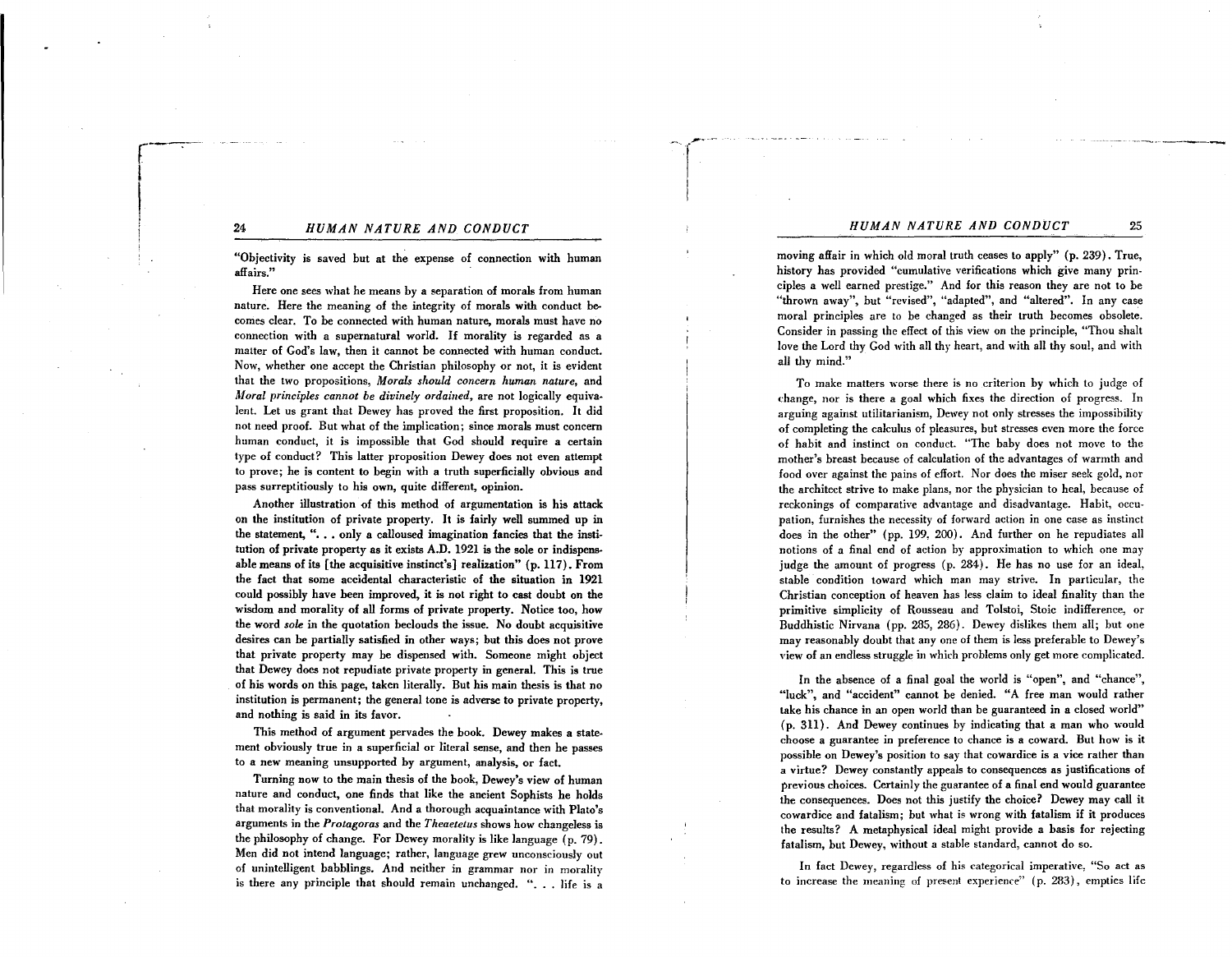## 24 HUMAN NATURE AND CONDUCT

 $\mathbb{C}^{\mathbb{C}}$  and  $\mathbb{C}^{\mathbb{C}}$ 

 $\left| \cdot \right|$ !

> "Objectivity is saved but at the expense of connection with human **affairs."**

., ...

Here one sees what he means by a separation of morals from human nature. Here the meaning of the integrity of morals with conduct becomes clear. To be connected with human nature, morals must have no connection with a supernatural world. If morality is regarded as a matter of God's law, then it cannot be connected with human conduct. Now, whether one accept the Christian philosophy or not, it is evident that the two propositions, *Morals should concern human nature,* and *Moral principles cannot be divinely ordained,* are not logically equiva. lent. Let us grant that Dewey has proved the first proposition. It did not need proof. But what of the implication; since morals must concern human conduct, it is impossible that God should require a certain type of conduct? This latter proposition Dewey does not even attempt to prove; he is content to begin with a truth superficially obvious and pass surreptitiously to his own, quite different, opinion.

Another illustration of this method of argumentation is his attack on the institution of private property. It is fairly well summed up in the statement, "... only a calloused imagination fancies that the institution of private property as it exists A.D. 1921 is the sole or indispens. able means of its  $[the$  acquisitive instinct's $]$  realization"  $(p, 117)$ . From the fact that some accidental characteristic of the situation in 1921 could possibly have been improved, it is not right to cast doubt on the wisdom and morality of all forms of private property. Notice too, how the word *sole* in the quotation beclouds the issue. No doubt acquisitive desires can be partially satisfied in other ways; but this does not prove that private property may be dispensed with. Someone might object that Dewey does not repudiate private property in general. This is true of his words on this page, taken literally. But his main thesis is that no institution is permanent; the general tone is adverse to private property, and nothing is said in its favor.

This method of argument pervades the book. Dewey makes a state· ment obviously true in a superficial or literal sense, and then he passes to a new meaning unsupported by argument, analysis, or fact.

Turning now to the main thesis of the book, Dewey's view of human nature and conduct, one finds that like the ancient Sophists he holds that morality is conventional. And a thorough acquaintance with Plato's arguments in the *Protagoras* and the *Theaetetus* shows how changeless is the philosophy of change. For Dewey morality is like language (p. 79). Men did not intend language; rather, language grew unconsciously out of unintelligent babblings. And neither in grammar nor in morality is there any principle that should remain unchanged. "... life is a HUMAN NATURE AND CONDUCT 25

moving affair in which old moral truth ceases to apply" (p. 239). True, history has provided "cumulative verifications which give many prin. ciples a well earned prestige." And for this reason they are not to be "thrown away", but "revised", "adapted", and "altered". In any case moral principles are to be changed as their truth becomes obsolete. Consider in passing the effect of this view on the principle, "Thou shalt love the Lord thy God with all thy heart, and with all thy sou!, and with all thy mind."

To make matters worse there is no criterion by which to judge of change, nor is there a goal which fixes the direction of progress. In arguing against utilitarianism, Dewey not only stresses the impossibility of completing the calculus of pleasures, but stresses even more the force of habit and instinct on conduct. "The baby does not move to the mother's breast because of calculation of the advantages of warmth and food over against the pains of effort. Nor does the miser seek gold, nor the architect strive to make pians, nor the physician to heal, because of reckonings of comparative advantage and disadvantage. Habit, occupation, furnishes the necessity of forward action in one case as instinct does in the other" (pp. 199, 200). And further on he repudiates all notions of a final end of action by approximation to which one may judge the amount of progress (p. 284). He has no use for an ideal, stable condition toward which man may strive. In particular, the Christian conception of heaven has less claim to ideal finality than the primitive simplicity of Rousseau and Tolstoi, Stoic indifference, or Buddhistic Nirvana (pp. 285, 286). Dewey dislikes them all; but one may reasonably doubt that anyone of them is less preferable to Dewey's view of an endless struggle in which problems only get more complicated.

In the absence of a final goal the world is "open", and "chance", "luck", and "accident" cannot be denied. "A free man would rather take his chance in an open world than be guaranteed in a closed world" (p. 311). And Dewey continues by indicating that a man who would choose a guarantee in preference to chance is a coward. But how is it possible on Dewey's position to say that cowardice is a vice rather than a virtue? Dewey constantly appeals to consequences as justifications of previous choices. Certainly the guarantee of a final end would guarantee the consequences. Does not this justify the choice? Dewey may call it cowardice and fatalism; but what is wrong with fatalism if it produces the results? A metaphysical ideal might provide a basis for rejecting fatalism, but Dewey, without a stable standard, cannot do so.

In fact Dewey, regardless of his categorical imperative, "So act as to increase the meaning of present experience" (p. 283), empties life